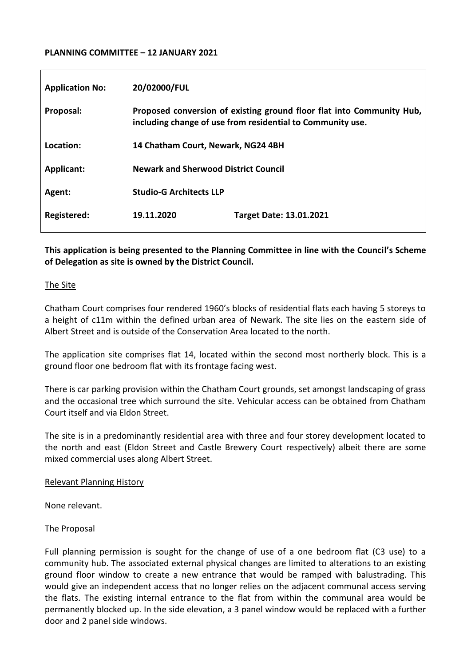## **PLANNING COMMITTEE – 12 JANUARY 2021**

| <b>Application No:</b> | 20/02000/FUL                                                                                                                        |                                |
|------------------------|-------------------------------------------------------------------------------------------------------------------------------------|--------------------------------|
| Proposal:              | Proposed conversion of existing ground floor flat into Community Hub,<br>including change of use from residential to Community use. |                                |
| Location:              | 14 Chatham Court, Newark, NG24 4BH                                                                                                  |                                |
| <b>Applicant:</b>      | <b>Newark and Sherwood District Council</b>                                                                                         |                                |
| Agent:                 | <b>Studio-G Architects LLP</b>                                                                                                      |                                |
| Registered:            | 19.11.2020                                                                                                                          | <b>Target Date: 13.01.2021</b> |

**This application is being presented to the Planning Committee in line with the Council's Scheme of Delegation as site is owned by the District Council.**

#### The Site

Chatham Court comprises four rendered 1960's blocks of residential flats each having 5 storeys to a height of c11m within the defined urban area of Newark. The site lies on the eastern side of Albert Street and is outside of the Conservation Area located to the north.

The application site comprises flat 14, located within the second most northerly block. This is a ground floor one bedroom flat with its frontage facing west.

There is car parking provision within the Chatham Court grounds, set amongst landscaping of grass and the occasional tree which surround the site. Vehicular access can be obtained from Chatham Court itself and via Eldon Street.

The site is in a predominantly residential area with three and four storey development located to the north and east (Eldon Street and Castle Brewery Court respectively) albeit there are some mixed commercial uses along Albert Street.

### Relevant Planning History

None relevant.

#### The Proposal

Full planning permission is sought for the change of use of a one bedroom flat (C3 use) to a community hub. The associated external physical changes are limited to alterations to an existing ground floor window to create a new entrance that would be ramped with balustrading. This would give an independent access that no longer relies on the adjacent communal access serving the flats. The existing internal entrance to the flat from within the communal area would be permanently blocked up. In the side elevation, a 3 panel window would be replaced with a further door and 2 panel side windows.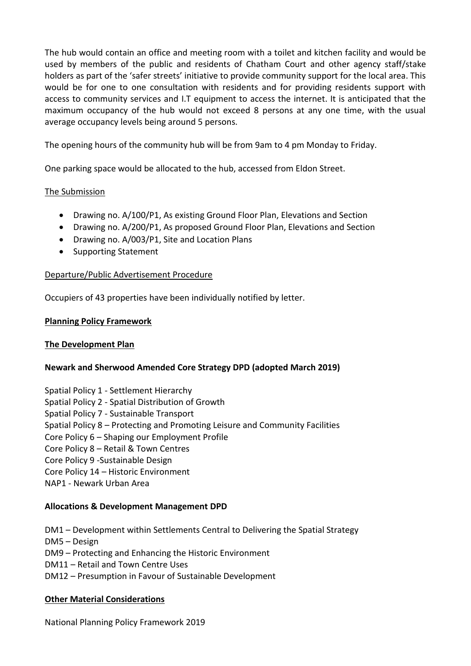The hub would contain an office and meeting room with a toilet and kitchen facility and would be used by members of the public and residents of Chatham Court and other agency staff/stake holders as part of the 'safer streets' initiative to provide community support for the local area. This would be for one to one consultation with residents and for providing residents support with access to community services and I.T equipment to access the internet. It is anticipated that the maximum occupancy of the hub would not exceed 8 persons at any one time, with the usual average occupancy levels being around 5 persons.

The opening hours of the community hub will be from 9am to 4 pm Monday to Friday.

One parking space would be allocated to the hub, accessed from Eldon Street.

## The Submission

- Drawing no. A/100/P1, As existing Ground Floor Plan, Elevations and Section
- Drawing no. A/200/P1, As proposed Ground Floor Plan, Elevations and Section
- Drawing no. A/003/P1, Site and Location Plans
- Supporting Statement

## Departure/Public Advertisement Procedure

Occupiers of 43 properties have been individually notified by letter.

### **Planning Policy Framework**

### **The Development Plan**

# **Newark and Sherwood Amended Core Strategy DPD (adopted March 2019)**

- Spatial Policy 1 Settlement Hierarchy
- Spatial Policy 2 Spatial Distribution of Growth
- Spatial Policy 7 Sustainable Transport
- Spatial Policy 8 Protecting and Promoting Leisure and Community Facilities
- Core Policy 6 Shaping our Employment Profile
- Core Policy 8 Retail & Town Centres
- Core Policy 9 -Sustainable Design
- Core Policy 14 Historic Environment
- NAP1 Newark Urban Area

### **Allocations & Development Management DPD**

- DM1 Development within Settlements Central to Delivering the Spatial Strategy
- DM5 Design
- DM9 Protecting and Enhancing the Historic Environment
- DM11 Retail and Town Centre Uses
- DM12 Presumption in Favour of Sustainable Development

# **Other Material Considerations**

National Planning Policy Framework 2019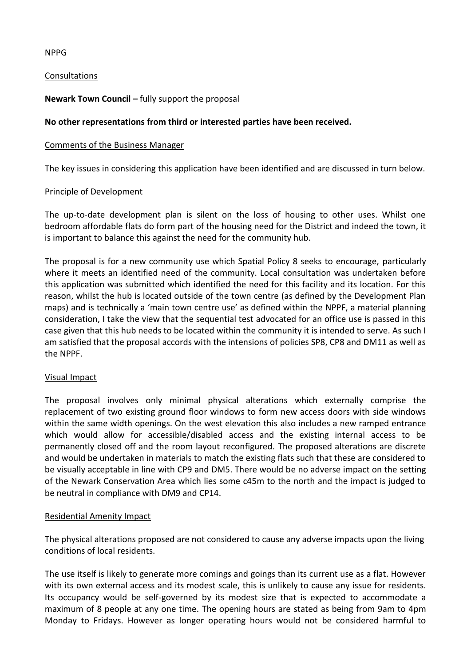### NPPG

### Consultations

# **Newark Town Council –** fully support the proposal

## **No other representations from third or interested parties have been received.**

### Comments of the Business Manager

The key issues in considering this application have been identified and are discussed in turn below.

### Principle of Development

The up-to-date development plan is silent on the loss of housing to other uses. Whilst one bedroom affordable flats do form part of the housing need for the District and indeed the town, it is important to balance this against the need for the community hub.

The proposal is for a new community use which Spatial Policy 8 seeks to encourage, particularly where it meets an identified need of the community. Local consultation was undertaken before this application was submitted which identified the need for this facility and its location. For this reason, whilst the hub is located outside of the town centre (as defined by the Development Plan maps) and is technically a 'main town centre use' as defined within the NPPF, a material planning consideration, I take the view that the sequential test advocated for an office use is passed in this case given that this hub needs to be located within the community it is intended to serve. As such I am satisfied that the proposal accords with the intensions of policies SP8, CP8 and DM11 as well as the NPPF.

### Visual Impact

The proposal involves only minimal physical alterations which externally comprise the replacement of two existing ground floor windows to form new access doors with side windows within the same width openings. On the west elevation this also includes a new ramped entrance which would allow for accessible/disabled access and the existing internal access to be permanently closed off and the room layout reconfigured. The proposed alterations are discrete and would be undertaken in materials to match the existing flats such that these are considered to be visually acceptable in line with CP9 and DM5. There would be no adverse impact on the setting of the Newark Conservation Area which lies some c45m to the north and the impact is judged to be neutral in compliance with DM9 and CP14.

### Residential Amenity Impact

The physical alterations proposed are not considered to cause any adverse impacts upon the living conditions of local residents.

The use itself is likely to generate more comings and goings than its current use as a flat. However with its own external access and its modest scale, this is unlikely to cause any issue for residents. Its occupancy would be self-governed by its modest size that is expected to accommodate a maximum of 8 people at any one time. The opening hours are stated as being from 9am to 4pm Monday to Fridays. However as longer operating hours would not be considered harmful to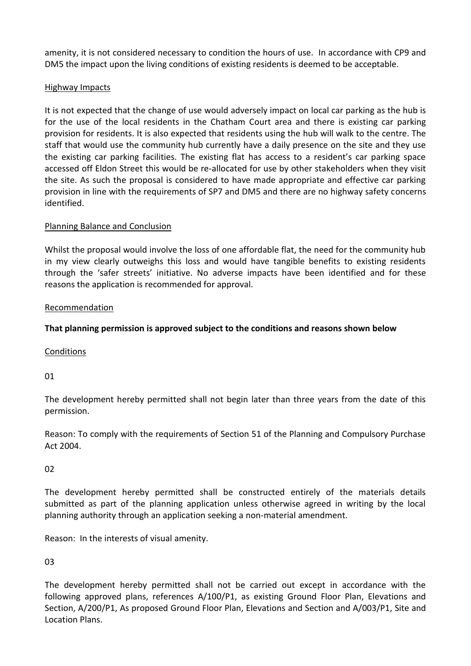amenity, it is not considered necessary to condition the hours of use. In accordance with CP9 and DM5 the impact upon the living conditions of existing residents is deemed to be acceptable.

# Highway Impacts

It is not expected that the change of use would adversely impact on local car parking as the hub is for the use of the local residents in the Chatham Court area and there is existing car parking provision for residents. It is also expected that residents using the hub will walk to the centre. The staff that would use the community hub currently have a daily presence on the site and they use the existing car parking facilities. The existing flat has access to a resident's car parking space accessed off Eldon Street this would be re-allocated for use by other stakeholders when they visit the site. As such the proposal is considered to have made appropriate and effective car parking provision in line with the requirements of SP7 and DM5 and there are no highway safety concerns identified.

## Planning Balance and Conclusion

Whilst the proposal would involve the loss of one affordable flat, the need for the community hub in my view clearly outweighs this loss and would have tangible benefits to existing residents through the 'safer streets' initiative. No adverse impacts have been identified and for these reasons the application is recommended for approval.

### Recommendation

# **That planning permission is approved subject to the conditions and reasons shown below**

Conditions

01

The development hereby permitted shall not begin later than three years from the date of this permission.

Reason: To comply with the requirements of Section 51 of the Planning and Compulsory Purchase Act 2004.

### $02$

The development hereby permitted shall be constructed entirely of the materials details submitted as part of the planning application unless otherwise agreed in writing by the local planning authority through an application seeking a non-material amendment.

Reason: In the interests of visual amenity.

03

The development hereby permitted shall not be carried out except in accordance with the following approved plans, references A/100/P1, as existing Ground Floor Plan, Elevations and Section, A/200/P1, As proposed Ground Floor Plan, Elevations and Section and A/003/P1, Site and Location Plans.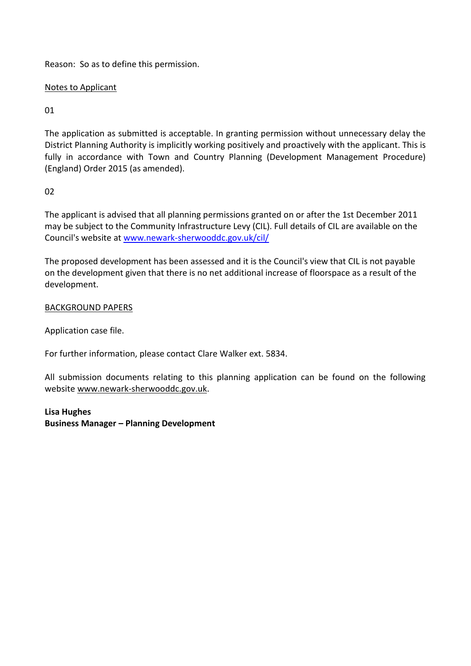Reason: So as to define this permission.

# Notes to Applicant

01

The application as submitted is acceptable. In granting permission without unnecessary delay the District Planning Authority is implicitly working positively and proactively with the applicant. This is fully in accordance with Town and Country Planning (Development Management Procedure) (England) Order 2015 (as amended).

 $02$ 

The applicant is advised that all planning permissions granted on or after the 1st December 2011 may be subject to the Community Infrastructure Levy (CIL). Full details of CIL are available on the Council's website at [www.newark-sherwooddc.gov.uk/cil/](http://www.newark-sherwooddc.gov.uk/cil/)

The proposed development has been assessed and it is the Council's view that CIL is not payable on the development given that there is no net additional increase of floorspace as a result of the development.

BACKGROUND PAPERS

Application case file.

For further information, please contact Clare Walker ext. 5834.

All submission documents relating to this planning application can be found on the following websit[e www.newark-sherwooddc.gov.uk.](http://www.newark-sherwooddc.gov.uk/)

**Lisa Hughes Business Manager – Planning Development**